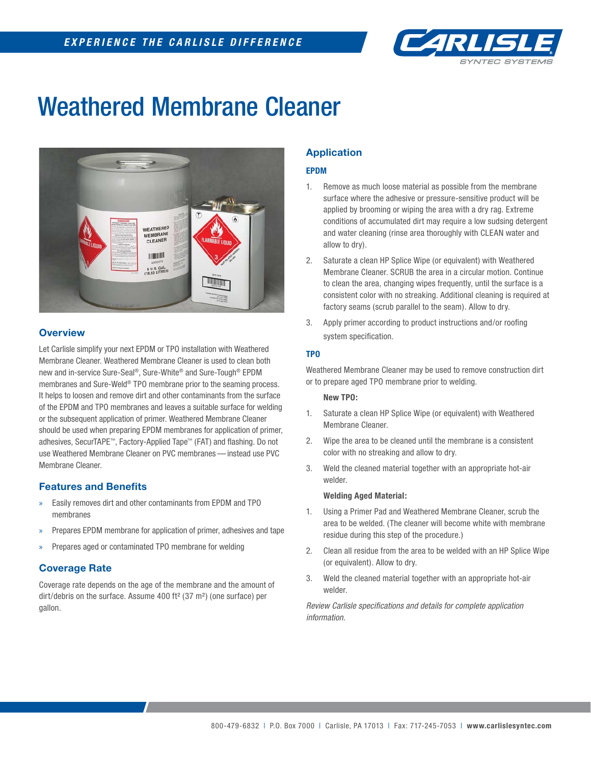

## Weathered Membrane Cleaner



## **Overview**

Let Carlisle simplify your next EPDM or TPO installation with Weathered Membrane Cleaner. Weathered Membrane Cleaner is used to clean both new and in-service Sure-Seal®, Sure-White® and Sure-Tough® EPDM membranes and Sure-Weld® TPO membrane prior to the seaming process. It helps to loosen and remove dirt and other contaminants from the surface of the EPDM and TPO membranes and leaves a suitable surface for welding or the subsequent application of primer. Weathered Membrane Cleaner should be used when preparing EPDM membranes for application of primer, adhesives, SecurTAPE™, Factory-Applied Tape™ (FAT) and flashing. Do not use Weathered Membrane Cleaner on PVC membranes — instead use PVC Membrane Cleaner.

#### **Features and Benefits**

- » Easily removes dirt and other contaminants from EPDM and TPO membranes
- » Prepares EPDM membrane for application of primer, adhesives and tape
- Prepares aged or contaminated TPO membrane for welding

## **Coverage Rate**

Coverage rate depends on the age of the membrane and the amount of dirt/debris on the surface. Assume 400 ft² (37 m²) (one surface) per gallon.

## **Application**

#### **EPDM**

- 1. Remove as much loose material as possible from the membrane surface where the adhesive or pressure-sensitive product will be applied by brooming or wiping the area with a dry rag. Extreme conditions of accumulated dirt may require a low sudsing detergent and water cleaning (rinse area thoroughly with CLEAN water and allow to dry).
- 2. Saturate a clean HP Splice Wipe (or equivalent) with Weathered Membrane Cleaner. SCRUB the area in a circular motion. Continue to clean the area, changing wipes frequently, until the surface is a consistent color with no streaking. Additional cleaning is required at factory seams (scrub parallel to the seam). Allow to dry.
- 3. Apply primer according to product instructions and/or roofing system specification.

#### **TPO**

Weathered Membrane Cleaner may be used to remove construction dirt or to prepare aged TPO membrane prior to welding.

#### **New TPO:**

- 1. Saturate a clean HP Splice Wipe (or equivalent) with Weathered Membrane Cleaner.
- 2. Wipe the area to be cleaned until the membrane is a consistent color with no streaking and allow to dry.
- 3. Weld the cleaned material together with an appropriate hot-air welder.

#### **Welding Aged Material:**

- 1. Using a Primer Pad and Weathered Membrane Cleaner, scrub the area to be welded. (The cleaner will become white with membrane residue during this step of the procedure.)
- 2. Clean all residue from the area to be welded with an HP Splice Wipe (or equivalent). Allow to dry.
- 3. Weld the cleaned material together with an appropriate hot-air welder.

*Review Carlisle specifi cations and details for complete application information.*